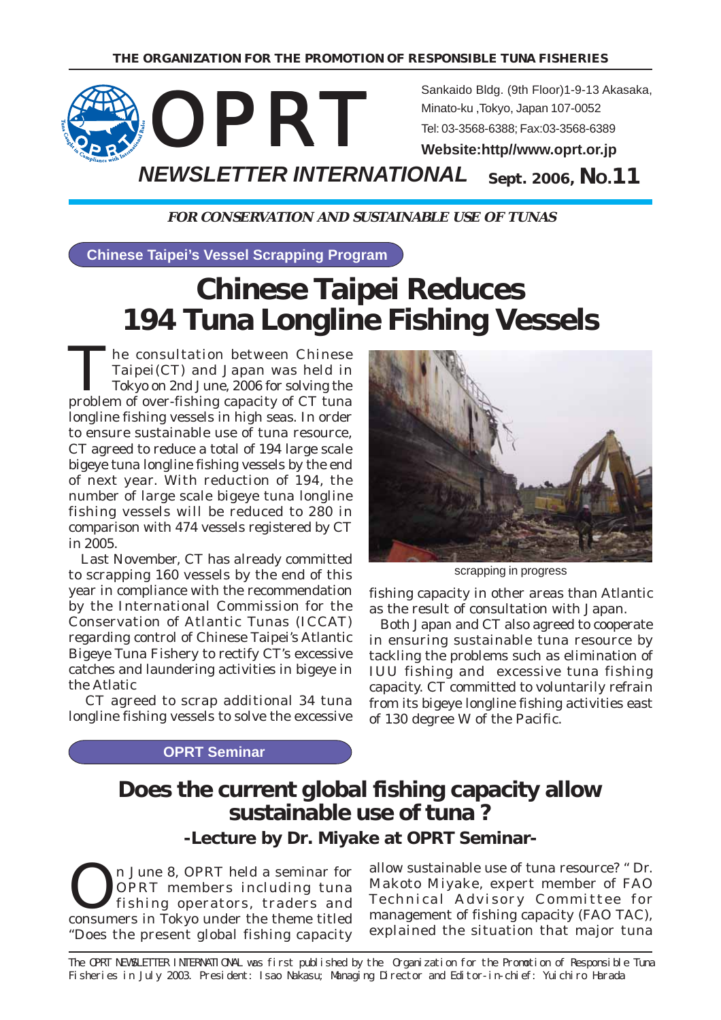

**FOR CONSERVATION AND SUSTAINABLE USE OF TUNAS**

**Chinese Taipei's Vessel Scrapping Program**

# **Chinese Taipei Reduces 194 Tuna Longline Fishing Vessels**

The consultation between Chinese Taipei(CT) and Japan was held in Tokyo on 2nd June, 2006 for solving the problem of over-fishing capacity of CT tuna longline fishing vessels in high seas. In order to ensure sustainable use of tuna resource, CT agreed to reduce a total of 194 large scale bigeye tuna longline fishing vessels by the end of next year. With reduction of 194, the number of large scale bigeye tuna longline fishing vessels will be reduced to 280 in comparison with 474 vessels registered by CT in 2005.

 Last November, CT has already committed to scrapping 160 vessels by the end of this year in compliance with the recommendation by the International Commission for the Conservation of Atlantic Tunas (ICCAT) regarding control of Chinese Taipei's Atlantic Bigeye Tuna Fishery to rectify CT's excessive catches and laundering activities in bigeye in the Atlatic

 CT agreed to scrap additional 34 tuna longline fishing vessels to solve the excessive

scrapping in progress

fishing capacity in other areas than Atlantic as the result of consultation with Japan.

 Both Japan and CT also agreed to cooperate in ensuring sustainable tuna resource by tackling the problems such as elimination of IUU fishing and excessive tuna fishing capacity. CT committed to voluntarily refrain from its bigeye longline fishing activities east of 130 degree W of the Pacific.

#### **OPRT Seminar**

## **Does the current global fishing capacity allow sustainable use of tuna ?**

**-Lecture by Dr. Miyake at OPRT Seminar-**

On June 8, OPRT held a seminar for<br>
OPRT members including tuna<br>
fishing operators, traders and<br>
sensumers in Telus under the theme titled OPRT members including tuna consumers in Tokyo under the theme titled "Does the present global fishing capacity

allow sustainable use of tuna resource? " Dr. Makoto Miyake, expert member of FAO Technical Advisory Committee for management of fishing capacity (FAO TAC), explained the situation that major tuna

The OPRT NEWSLETTER INTERNATIONAL was first published by the Organization for the Promotion of Responsible Tuna Fisheries in July 2003. President: Isao Nakasu; Managing Director and Editor-in-chief: Yuichiro Harada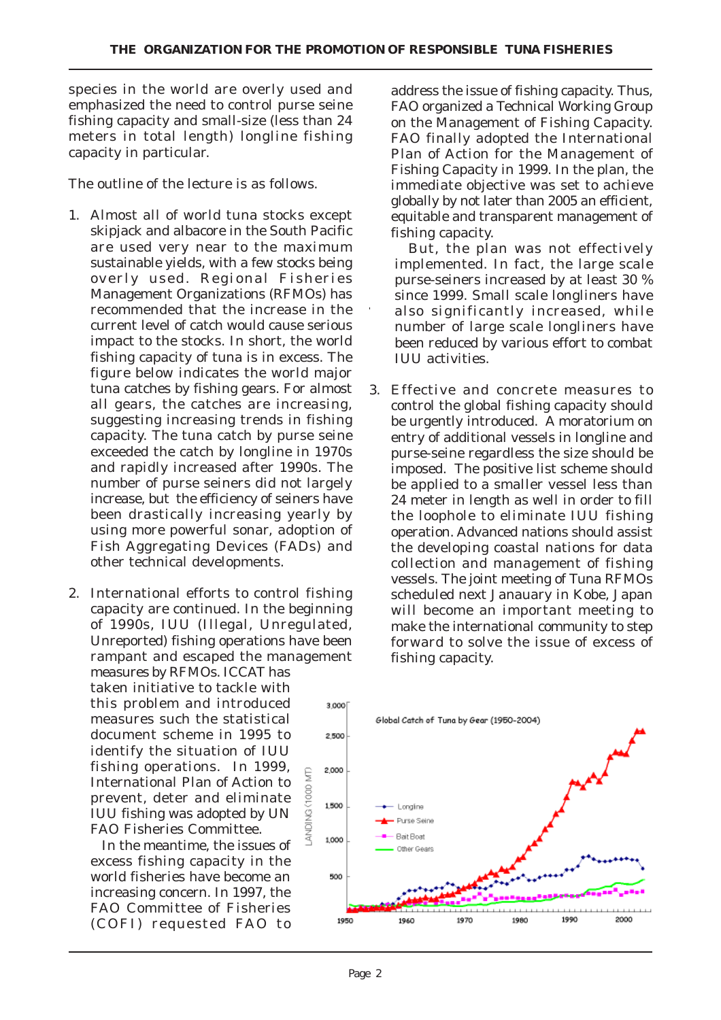species in the world are overly used and emphasized the need to control purse seine fishing capacity and small-size (less than 24 meters in total length) longline fishing capacity in particular.

The outline of the lecture is as follows.

- 1. Almost all of world tuna stocks except skipjack and albacore in the South Pacific are used very near to the maximum sustainable yields, with a few stocks being overly used. Regional Fisheries Management Organizations (RFMOs) has recommended that the increase in the current level of catch would cause serious impact to the stocks. In short, the world fishing capacity of tuna is in excess. The figure below indicates the world major tuna catches by fishing gears. For almost all gears, the catches are increasing, suggesting increasing trends in fishing capacity. The tuna catch by purse seine exceeded the catch by longline in 1970s and rapidly increased after 1990s. The number of purse seiners did not largely increase, but the efficiency of seiners have been drastically increasing yearly by using more powerful sonar, adoption of Fish Aggregating Devices (FADs) and other technical developments.
- 2. International efforts to control fishing capacity are continued. In the beginning of 1990s, IUU (Illegal, Unregulated, Unreported) fishing operations have been rampant and escaped the management measures by RFMOs. ICCAT has taken initiative to tackle with this problem and introduced  $3000$ measures such the statistical document scheme in 1995 to 2.500 identify the situation of IUU fishing operations. In 1999, 2,000 LANDING (1000 MT) International Plan of Action to prevent, deter and eliminate 1500 IUU fishing was adopted by UN FAO Fisheries Committee.

 In the meantime, the issues of excess fishing capacity in the world fisheries have become an increasing concern. In 1997, the FAO Committee of Fisheries (COFI) requested FAO to

address the issue of fishing capacity. Thus, FAO organized a Technical Working Group on the Management of Fishing Capacity. FAO finally adopted the International Plan of Action for the Management of Fishing Capacity in 1999. In the plan, the immediate objective was set to achieve globally by not later than 2005 an efficient, equitable and transparent management of fishing capacity.

 But, the plan was not effectively implemented. In fact, the large scale purse-seiners increased by at least 30 % since 1999. Small scale longliners have also significantly increased, while number of large scale longliners have been reduced by various effort to combat IUU activities.

3. Effective and concrete measures to control the global fishing capacity should be urgently introduced. A moratorium on entry of additional vessels in longline and purse-seine regardless the size should be imposed. The positive list scheme should be applied to a smaller vessel less than 24 meter in length as well in order to fill the loophole to eliminate IUU fishing operation. Advanced nations should assist the developing coastal nations for data collection and management of fishing vessels. The joint meeting of Tuna RFMOs scheduled next Janauary in Kobe, Japan will become an important meeting to make the international community to step forward to solve the issue of excess of fishing capacity.

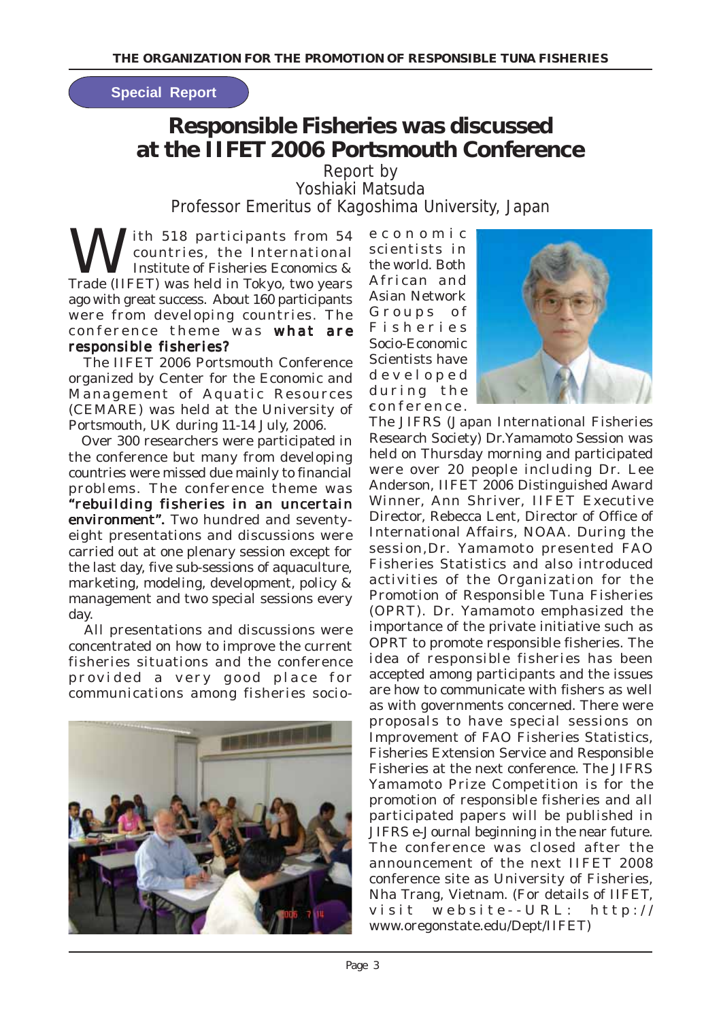#### **Special Report**

# **Responsible Fisheries was discussed at the IIFET 2006 Portsmouth Conference**

Report by Yoshiaki Matsuda Professor Emeritus of Kagoshima University, Japan

W ith 518 participants from 54<br>countries, the International<br>metric of Fisheries Economics & countries, the International Institute of Fisheries Economics & Trade (IIFET) was held in Tokyo, two years ago with great success. About 160 participants were from developing countries. The conference theme was what are responsible fisheries?

 The IIFET 2006 Portsmouth Conference organized by Center for the Economic and Management of Aquatic Resources (CEMARE) was held at the University of Portsmouth, UK during 11-14 July, 2006.

 Over 300 researchers were participated in the conference but many from developing countries were missed due mainly to financial problems. The conference theme was "rebuilding fisheries in an uncertain environment". Two hundred and seventyeight presentations and discussions were carried out at one plenary session except for the last day, five sub-sessions of aquaculture, marketing, modeling, development, policy & management and two special sessions every day.

 All presentations and discussions were concentrated on how to improve the current fisheries situations and the conference provided a very good place for communications among fisheries socio-



- conference. economic scientists in the world. Both African and Asian Network Groups of Fisheries Socio-Economic Scientists have developed during the



The JIFRS (Japan International Fisheries Research Society) Dr.Yamamoto Session was held on Thursday morning and participated were over 20 people including Dr. Lee Anderson, IIFET 2006 Distinguished Award Winner, Ann Shriver, IIFET Executive Director, Rebecca Lent, Director of Office of International Affairs, NOAA. During the session,Dr. Yamamoto presented FAO Fisheries Statistics and also introduced activities of the Organization for the Promotion of Responsible Tuna Fisheries (OPRT). Dr. Yamamoto emphasized the importance of the private initiative such as OPRT to promote responsible fisheries. The idea of responsible fisheries has been accepted among participants and the issues are how to communicate with fishers as well as with governments concerned. There were proposals to have special sessions on Improvement of FAO Fisheries Statistics, Fisheries Extension Service and Responsible Fisheries at the next conference. The JIFRS Yamamoto Prize Competition is for the promotion of responsible fisheries and all participated papers will be published in JIFRS e-Journal beginning in the near future. The conference was closed after the announcement of the next IIFET 2008 conference site as University of Fisheries, Nha Trang, Vietnam. (For details of IIFET, visit website--URL: http:// www.oregonstate.edu/Dept/IIFET)